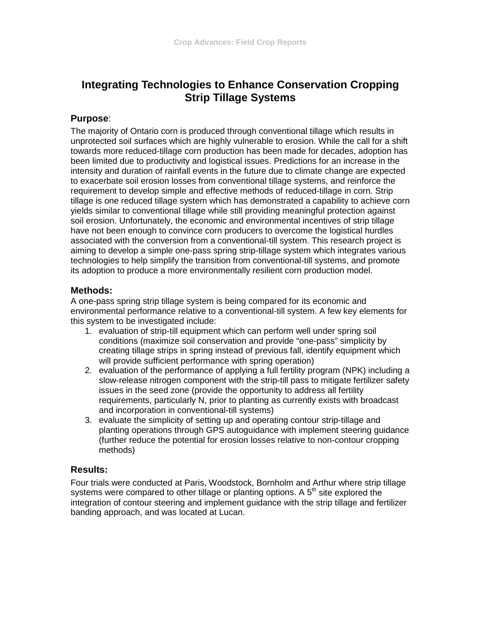# **Integrating Technologies to Enhance Conservation Cropping Strip Tillage Systems**

## **Purpose**:

The majority of Ontario corn is produced through conventional tillage which results in unprotected soil surfaces which are highly vulnerable to erosion. While the call for a shift towards more reduced-tillage corn production has been made for decades, adoption has been limited due to productivity and logistical issues. Predictions for an increase in the intensity and duration of rainfall events in the future due to climate change are expected to exacerbate soil erosion losses from conventional tillage systems, and reinforce the requirement to develop simple and effective methods of reduced-tillage in corn. Strip tillage is one reduced tillage system which has demonstrated a capability to achieve corn yields similar to conventional tillage while still providing meaningful protection against soil erosion. Unfortunately, the economic and environmental incentives of strip tillage have not been enough to convince corn producers to overcome the logistical hurdles associated with the conversion from a conventional-till system. This research project is aiming to develop a simple one-pass spring strip-tillage system which integrates various technologies to help simplify the transition from conventional-till systems, and promote its adoption to produce a more environmentally resilient corn production model.

# **Methods:**

A one-pass spring strip tillage system is being compared for its economic and environmental performance relative to a conventional-till system. A few key elements for this system to be investigated include:

- 1. evaluation of strip-till equipment which can perform well under spring soil conditions (maximize soil conservation and provide "one-pass" simplicity by creating tillage strips in spring instead of previous fall, identify equipment which will provide sufficient performance with spring operation)
- 2. evaluation of the performance of applying a full fertility program (NPK) including a slow-release nitrogen component with the strip-till pass to mitigate fertilizer safety issues in the seed zone (provide the opportunity to address all fertility requirements, particularly N, prior to planting as currently exists with broadcast and incorporation in conventional-till systems)
- 3. evaluate the simplicity of setting up and operating contour strip-tillage and planting operations through GPS autoguidance with implement steering guidance (further reduce the potential for erosion losses relative to non-contour cropping methods)

# **Results:**

Four trials were conducted at Paris, Woodstock, Bornholm and Arthur where strip tillage systems were compared to other tillage or planting options. A  $5<sup>th</sup>$  site explored the integration of contour steering and implement guidance with the strip tillage and fertilizer banding approach, and was located at Lucan.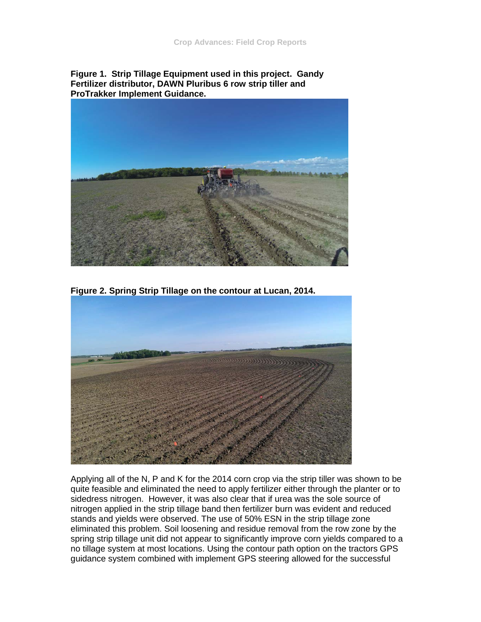**Figure 1. Strip Tillage Equipment used in this project. Gandy Fertilizer distributor, DAWN Pluribus 6 row strip tiller and ProTrakker Implement Guidance.**



**Figure 2. Spring Strip Tillage on the contour at Lucan, 2014.**



Applying all of the N, P and K for the 2014 corn crop via the strip tiller was shown to be quite feasible and eliminated the need to apply fertilizer either through the planter or to sidedress nitrogen. However, it was also clear that if urea was the sole source of nitrogen applied in the strip tillage band then fertilizer burn was evident and reduced stands and yields were observed. The use of 50% ESN in the strip tillage zone eliminated this problem. Soil loosening and residue removal from the row zone by the spring strip tillage unit did not appear to significantly improve corn yields compared to a no tillage system at most locations. Using the contour path option on the tractors GPS guidance system combined with implement GPS steering allowed for the successful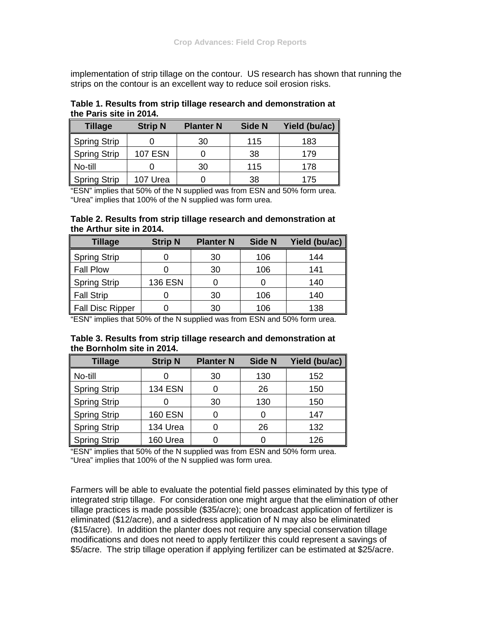implementation of strip tillage on the contour. US research has shown that running the strips on the contour is an excellent way to reduce soil erosion risks.

| Table 1. Results from strip tillage research and demonstration at |  |
|-------------------------------------------------------------------|--|
| the Paris site in 2014.                                           |  |

| <b>Tillage</b> | <b>Strip N</b> | <b>Planter N</b> | <b>Side N</b> | Yield (bu/ac) |
|----------------|----------------|------------------|---------------|---------------|
| Spring Strip   |                | 30               | 115           | 183           |
| Spring Strip   | <b>107 ESN</b> |                  | 38            | 179           |
| No-till        |                | 30               | 115           | 178           |
| Spring Strip   | 107 Urea       |                  | 38            | 175           |

"ESN" implies that 50% of the N supplied was from ESN and 50% form urea. "Urea" implies that 100% of the N supplied was form urea.

#### **Table 2. Results from strip tillage research and demonstration at the Arthur site in 2014.**

| <b>Tillage</b>   | <b>Strip N</b> | <b>Planter N</b> | Side N | Yield (bu/ac) |
|------------------|----------------|------------------|--------|---------------|
| Spring Strip     |                | 30               | 106    | 144           |
| Fall Plow        |                | 30               | 106    | 141           |
| Spring Strip     | <b>136 ESN</b> |                  |        | 140           |
| Fall Strip       |                | 30               | 106    | 140           |
| Fall Disc Ripper |                | 30               | 106    | 138           |

"ESN" implies that 50% of the N supplied was from ESN and 50% form urea.

| Table 3. Results from strip tillage research and demonstration at |  |
|-------------------------------------------------------------------|--|
| the Bornholm site in 2014.                                        |  |

| <b>Tillage</b>      | <b>Strip N</b> | <b>Planter N</b> | <b>Side N</b> | Yield (bu/ac) |
|---------------------|----------------|------------------|---------------|---------------|
| No-till             |                | 30               | 130           | 152           |
| Spring Strip        | <b>134 ESN</b> |                  | 26            | 150           |
| <b>Spring Strip</b> |                | 30               | 130           | 150           |
| <b>Spring Strip</b> | <b>160 ESN</b> |                  | 0             | 147           |
| <b>Spring Strip</b> | 134 Urea       |                  | 26            | 132           |
| <b>Spring Strip</b> | 160 Urea       |                  |               | 126           |

"ESN" implies that 50% of the N supplied was from ESN and 50% form urea. "Urea" implies that 100% of the N supplied was form urea.

Farmers will be able to evaluate the potential field passes eliminated by this type of integrated strip tillage. For consideration one might argue that the elimination of other tillage practices is made possible (\$35/acre); one broadcast application of fertilizer is eliminated (\$12/acre), and a sidedress application of N may also be eliminated (\$15/acre). In addition the planter does not require any special conservation tillage modifications and does not need to apply fertilizer this could represent a savings of \$5/acre. The strip tillage operation if applying fertilizer can be estimated at \$25/acre.